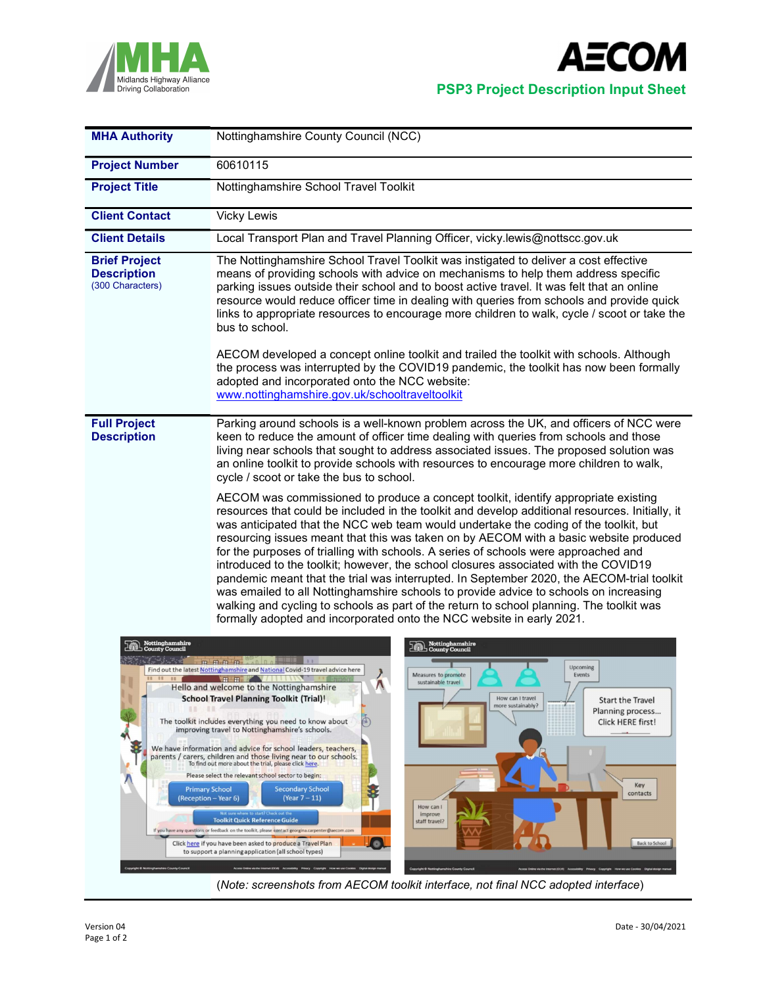



| Nottinghamshire County Council (NCC)                                                                                                                                                                                                                                                                                                                                                                                                                                                                                                                                                                                                                                                                                                                                                                                                                                                                                                                                                                                                                                                                                                                                                                                                                                                                                                 |
|--------------------------------------------------------------------------------------------------------------------------------------------------------------------------------------------------------------------------------------------------------------------------------------------------------------------------------------------------------------------------------------------------------------------------------------------------------------------------------------------------------------------------------------------------------------------------------------------------------------------------------------------------------------------------------------------------------------------------------------------------------------------------------------------------------------------------------------------------------------------------------------------------------------------------------------------------------------------------------------------------------------------------------------------------------------------------------------------------------------------------------------------------------------------------------------------------------------------------------------------------------------------------------------------------------------------------------------|
| 60610115                                                                                                                                                                                                                                                                                                                                                                                                                                                                                                                                                                                                                                                                                                                                                                                                                                                                                                                                                                                                                                                                                                                                                                                                                                                                                                                             |
| Nottinghamshire School Travel Toolkit                                                                                                                                                                                                                                                                                                                                                                                                                                                                                                                                                                                                                                                                                                                                                                                                                                                                                                                                                                                                                                                                                                                                                                                                                                                                                                |
| Vicky Lewis                                                                                                                                                                                                                                                                                                                                                                                                                                                                                                                                                                                                                                                                                                                                                                                                                                                                                                                                                                                                                                                                                                                                                                                                                                                                                                                          |
| Local Transport Plan and Travel Planning Officer, vicky.lewis@nottscc.gov.uk                                                                                                                                                                                                                                                                                                                                                                                                                                                                                                                                                                                                                                                                                                                                                                                                                                                                                                                                                                                                                                                                                                                                                                                                                                                         |
| The Nottinghamshire School Travel Toolkit was instigated to deliver a cost effective<br>means of providing schools with advice on mechanisms to help them address specific<br>parking issues outside their school and to boost active travel. It was felt that an online<br>resource would reduce officer time in dealing with queries from schools and provide quick<br>links to appropriate resources to encourage more children to walk, cycle / scoot or take the<br>bus to school.<br>AECOM developed a concept online toolkit and trailed the toolkit with schools. Although<br>the process was interrupted by the COVID19 pandemic, the toolkit has now been formally<br>adopted and incorporated onto the NCC website:<br>www.nottinghamshire.gov.uk/schooltraveltoolkit                                                                                                                                                                                                                                                                                                                                                                                                                                                                                                                                                     |
| Parking around schools is a well-known problem across the UK, and officers of NCC were<br>keen to reduce the amount of officer time dealing with queries from schools and those<br>living near schools that sought to address associated issues. The proposed solution was<br>an online toolkit to provide schools with resources to encourage more children to walk,<br>cycle / scoot or take the bus to school.<br>AECOM was commissioned to produce a concept toolkit, identify appropriate existing<br>resources that could be included in the toolkit and develop additional resources. Initially, it<br>was anticipated that the NCC web team would undertake the coding of the toolkit, but<br>resourcing issues meant that this was taken on by AECOM with a basic website produced<br>for the purposes of trialling with schools. A series of schools were approached and<br>introduced to the toolkit; however, the school closures associated with the COVID19<br>pandemic meant that the trial was interrupted. In September 2020, the AECOM-trial toolkit<br>was emailed to all Nottinghamshire schools to provide advice to schools on increasing<br>walking and cycling to schools as part of the return to school planning. The toolkit was<br>formally adopted and incorporated onto the NCC website in early 2021. |
| Nottinghamshire<br>County Council<br>用用用用<br>Upcoming<br>Find out the latest Nottinghamshire and National Covid-19 travel advice here<br>Measures to promote<br>Events<br><b>THEFT</b><br>л<br>sustainable travel<br>Hello and welcome to the Nottinghamshire<br><b>School Travel Planning Toolkit (Trial)!</b><br>How can I travel<br><b>Start the Travel</b><br>more sustainably?<br>Planning process<br>The toolkit includes everything you need to know about<br>Click HERE first!<br>improving travel to Nottinghamshire's schools.<br>We have information and advice for school leaders, teachers,<br>parents / carers, children and those living near to our schools.<br>To find out more about the trial, please click here.<br>Please select the relevant school sector to begin:<br>Key<br><b>Secondary School</b><br><b>Primary School</b><br>contacts<br>(Year $7 - 11$ )<br>(Reception – Year 6)<br>How can I<br>lot sure where to start? Check out th<br>improve<br><b>Toolkit Quick Reference Guide</b><br>staff travel?<br>If you have any questions or feedback on the toolkit, please contact georgina.carpenter@aecom.com<br>Click here if you have been asked to produce a Travel Plan<br>e<br>Back to School<br>to support a planning application (all school types)                                            |
|                                                                                                                                                                                                                                                                                                                                                                                                                                                                                                                                                                                                                                                                                                                                                                                                                                                                                                                                                                                                                                                                                                                                                                                                                                                                                                                                      |

Page 1 of 2